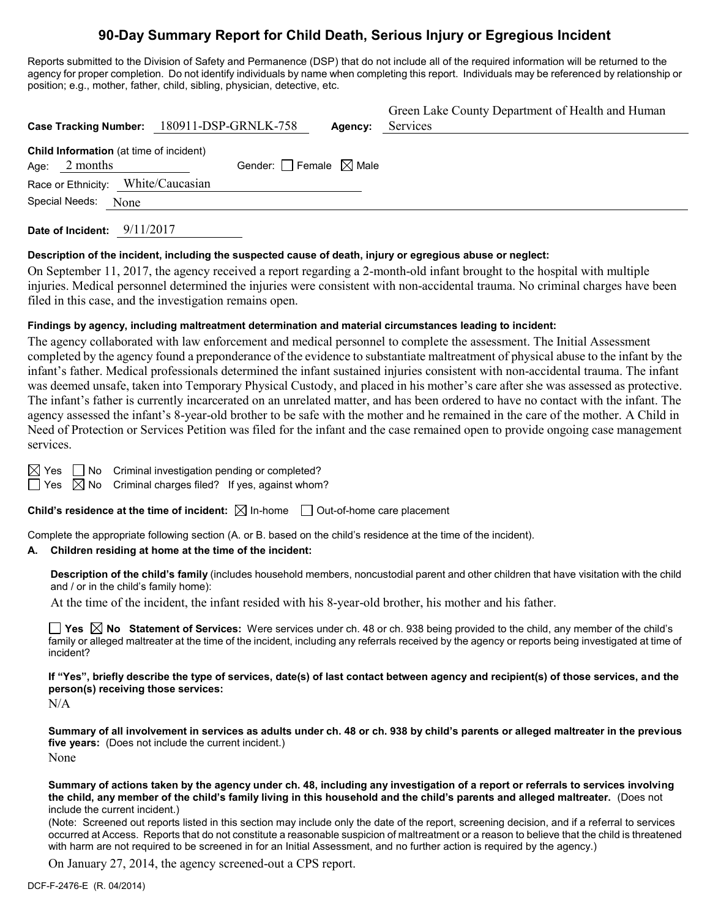# **90-Day Summary Report for Child Death, Serious Injury or Egregious Incident**

Reports submitted to the Division of Safety and Permanence (DSP) that do not include all of the required information will be returned to the agency for proper completion. Do not identify individuals by name when completing this report. Individuals may be referenced by relationship or position; e.g., mother, father, child, sibling, physician, detective, etc.

|                                                             | Case Tracking Number: 180911-DSP-GRNLK-758 | Agency: | Green Lake County Department of Health and Human<br>Services |
|-------------------------------------------------------------|--------------------------------------------|---------|--------------------------------------------------------------|
| Child Information (at time of incident)<br>2 months<br>Age: | Gender: Female $\boxtimes$ Male            |         |                                                              |
| Race or Ethnicity: White/Caucasian                          |                                            |         |                                                              |
| Special Needs:<br>None                                      |                                            |         |                                                              |

**Date of Incident:** 9/11/2017

#### **Description of the incident, including the suspected cause of death, injury or egregious abuse or neglect:**

On September 11, 2017, the agency received a report regarding a 2-month-old infant brought to the hospital with multiple injuries. Medical personnel determined the injuries were consistent with non-accidental trauma. No criminal charges have been filed in this case, and the investigation remains open.

### **Findings by agency, including maltreatment determination and material circumstances leading to incident:**

The agency collaborated with law enforcement and medical personnel to complete the assessment. The Initial Assessment completed by the agency found a preponderance of the evidence to substantiate maltreatment of physical abuse to the infant by the infant's father. Medical professionals determined the infant sustained injuries consistent with non-accidental trauma. The infant was deemed unsafe, taken into Temporary Physical Custody, and placed in his mother's care after she was assessed as protective. The infant's father is currently incarcerated on an unrelated matter, and has been ordered to have no contact with the infant. The agency assessed the infant's 8-year-old brother to be safe with the mother and he remained in the care of the mother. A Child in Need of Protection or Services Petition was filed for the infant and the case remained open to provide ongoing case management services.

 $\boxtimes$  Yes  $\Box$  No Criminal investigation pending or completed?

 $\Box$  Yes  $\boxtimes$  No Criminal charges filed? If yes, against whom?

**Child's residence at the time of incident:**  $\boxtimes$  In-home  $\Box$  Out-of-home care placement

Complete the appropriate following section (A. or B. based on the child's residence at the time of the incident).

### **A. Children residing at home at the time of the incident:**

**Description of the child's family** (includes household members, noncustodial parent and other children that have visitation with the child and / or in the child's family home):

At the time of the incident, the infant resided with his 8-year-old brother, his mother and his father.

**Yes**  $\boxtimes$  **No** Statement of Services: Were services under ch. 48 or ch. 938 being provided to the child, any member of the child's family or alleged maltreater at the time of the incident, including any referrals received by the agency or reports being investigated at time of incident?

**If "Yes", briefly describe the type of services, date(s) of last contact between agency and recipient(s) of those services, and the person(s) receiving those services:**

N/A

**Summary of all involvement in services as adults under ch. 48 or ch. 938 by child's parents or alleged maltreater in the previous five years:** (Does not include the current incident.) None

**Summary of actions taken by the agency under ch. 48, including any investigation of a report or referrals to services involving the child, any member of the child's family living in this household and the child's parents and alleged maltreater.** (Does not include the current incident.)

(Note: Screened out reports listed in this section may include only the date of the report, screening decision, and if a referral to services occurred at Access. Reports that do not constitute a reasonable suspicion of maltreatment or a reason to believe that the child is threatened with harm are not required to be screened in for an Initial Assessment, and no further action is required by the agency.)

On January 27, 2014, the agency screened-out a CPS report.